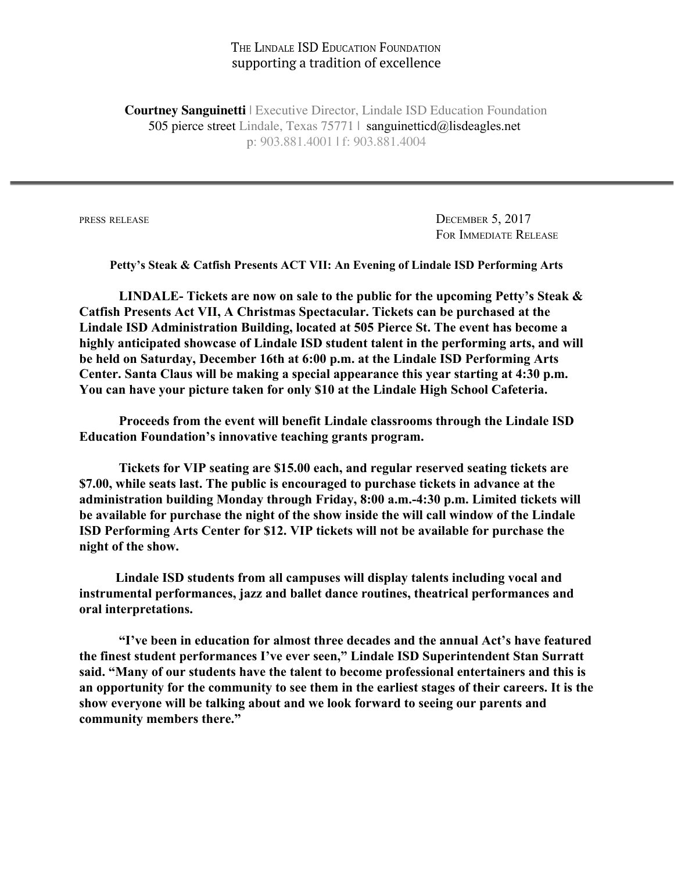## THE LINDALE ISD EDUCATION FOUNDATION supporting a tradition of excellence

**Courtney Sanguinetti** | Executive Director, Lindale ISD Education Foundation 505 pierce street Lindale, Texas 75771 | sanguinetticd@lisdeagles.net p: 903.881.4001 | f: 903.881.4004

PRESS RELEASE DECEMBER 5, 2017 FOR IMMEDIATE RELEASE

**Petty's Steak & Catfish Presents ACT VII: An Evening of Lindale ISD Performing Arts**

**LINDALE- Tickets are now on sale to the public for the upcoming Petty's Steak & Catfish Presents Act VII, A Christmas Spectacular. Tickets can be purchased at the Lindale ISD Administration Building, located at 505 Pierce St. The event has become a highly anticipated showcase of Lindale ISD student talent in the performing arts, and will be held on Saturday, December 16th at 6:00 p.m. at the Lindale ISD Performing Arts Center. Santa Claus will be making a special appearance this year starting at 4:30 p.m. You can have your picture taken for only \$10 at the Lindale High School Cafeteria.**

**Proceeds from the event will benefit Lindale classrooms through the Lindale ISD Education Foundation's innovative teaching grants program.**

**Tickets for VIP seating are \$15.00 each, and regular reserved seating tickets are \$7.00, while seats last. The public is encouraged to purchase tickets in advance at the administration building Monday through Friday, 8:00 a.m.-4:30 p.m. Limited tickets will be available for purchase the night of the show inside the will call window of the Lindale ISD Performing Arts Center for \$12. VIP tickets will not be available for purchase the night of the show.**

 **Lindale ISD students from all campuses will display talents including vocal and instrumental performances, jazz and ballet dance routines, theatrical performances and oral interpretations.**

**"I've been in education for almost three decades and the annual Act's have featured the finest student performances I've ever seen," Lindale ISD Superintendent Stan Surratt said. "Many of our students have the talent to become professional entertainers and this is an opportunity for the community to see them in the earliest stages of their careers. It is the show everyone will be talking about and we look forward to seeing our parents and community members there."**